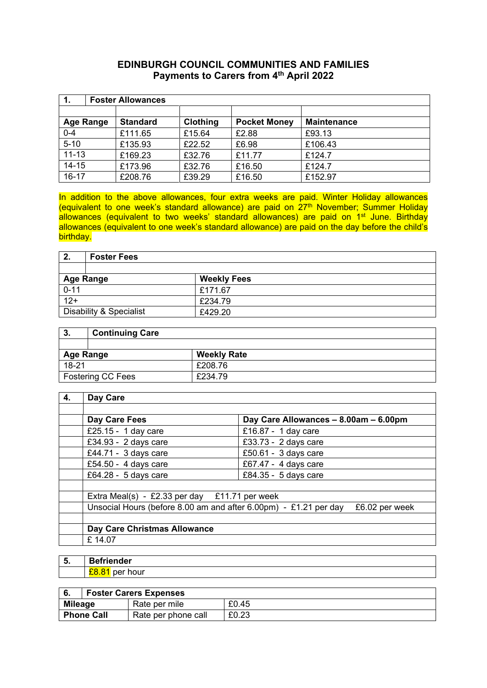#### **EDINBURGH COUNCIL COMMUNITIES AND FAMILIES Payments to Carers from 4th April 2022**

| 1.               | <b>Foster Allowances</b> |                 |                     |                    |
|------------------|--------------------------|-----------------|---------------------|--------------------|
|                  |                          |                 |                     |                    |
| <b>Age Range</b> | <b>Standard</b>          | <b>Clothing</b> | <b>Pocket Money</b> | <b>Maintenance</b> |
| $0 - 4$          | £111.65                  | £15.64          | £2.88               | £93.13             |
| $5 - 10$         | £135.93                  | £22.52          | £6.98               | £106.43            |
| $11 - 13$        | £169.23                  | £32.76          | £11.77              | £124.7             |
| $14 - 15$        | £173.96                  | £32.76          | £16.50              | £124.7             |
| $16 - 17$        | £208.76                  | £39.29          | £16.50              | £152.97            |

In addition to the above allowances, four extra weeks are paid. Winter Holiday allowances (equivalent to one week's standard allowance) are paid on 27<sup>th</sup> November; Summer Holiday allowances (equivalent to two weeks' standard allowances) are paid on 1<sup>st</sup> June. Birthday allowances (equivalent to one week's standard allowance) are paid on the day before the child's birthday.

| 2.                      | <b>Foster Fees</b> |                    |
|-------------------------|--------------------|--------------------|
|                         |                    |                    |
| <b>Age Range</b>        |                    | <b>Weekly Fees</b> |
| $0 - 11$                |                    | £171.67            |
| $\overline{12+}$        |                    | £234.79            |
| Disability & Specialist |                    | £429.20            |

| З.                       | <b>Continuing Care</b> |                    |
|--------------------------|------------------------|--------------------|
|                          |                        |                    |
| <b>Age Range</b>         |                        | <b>Weekly Rate</b> |
| $18 - 21$                |                        | £208.76            |
| <b>Fostering CC Fees</b> |                        | £234.79            |

| 4. | Day Care                                                         |                                       |
|----|------------------------------------------------------------------|---------------------------------------|
|    |                                                                  |                                       |
|    | Day Care Fees                                                    | Day Care Allowances - 8.00am - 6.00pm |
|    | £25.15 - 1 day care                                              | £16.87 - 1 day care                   |
|    | £34.93 - 2 days care                                             | £33.73 - 2 days care                  |
|    | £44.71 - 3 days care                                             | £50.61 - $3$ days care                |
|    | £54.50 - 4 days care                                             | £67.47 - 4 days care                  |
|    | £64.28 - 5 days care                                             | £84.35 - 5 days care                  |
|    |                                                                  |                                       |
|    | Extra Meal(s) - £2.33 per day $£11.71$ per week                  |                                       |
|    | Unsocial Hours (before 8.00 am and after 6.00pm) - £1.21 per day | £6.02 per week                        |
|    |                                                                  |                                       |
|    | Day Care Christmas Allowance                                     |                                       |
|    | £14.07                                                           |                                       |

| 5. | iender    |
|----|-----------|
|    | .<br>∣∪ui |

|                | <b>Foster Carers Expenses</b> |                     |       |
|----------------|-------------------------------|---------------------|-------|
| <b>Mileage</b> |                               | Rate per mile       | £0.45 |
|                | <b>Phone Call</b>             | Rate per phone call | £0.23 |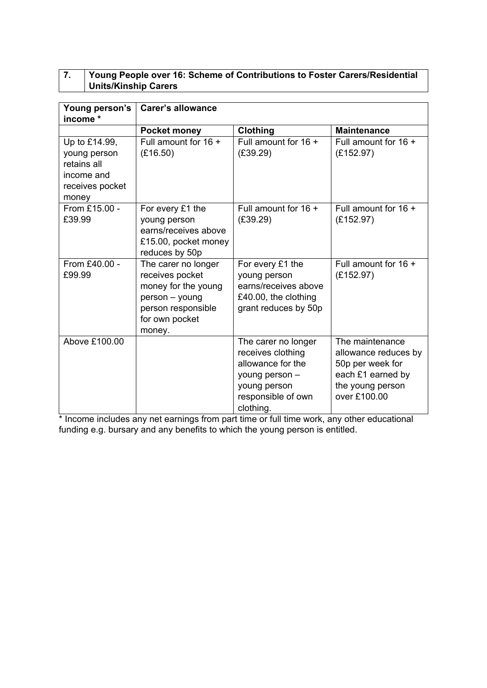## **7. Young People over 16: Scheme of Contributions to Foster Carers/Residential Units/Kinship Carers**

| Young person's<br>income *                                                             | <b>Carer's allowance</b>                                                                                                          |                                                                                                                                    |                                                                                                                      |
|----------------------------------------------------------------------------------------|-----------------------------------------------------------------------------------------------------------------------------------|------------------------------------------------------------------------------------------------------------------------------------|----------------------------------------------------------------------------------------------------------------------|
|                                                                                        | <b>Pocket money</b>                                                                                                               | <b>Clothing</b>                                                                                                                    | <b>Maintenance</b>                                                                                                   |
| Up to £14.99,<br>young person<br>retains all<br>income and<br>receives pocket<br>money | Full amount for 16 +<br>(E16.50)                                                                                                  | Full amount for 16 +<br>(E39.29)                                                                                                   | Full amount for $16 +$<br>(E152.97)                                                                                  |
| From £15.00 -<br>£39.99                                                                | For every £1 the<br>young person<br>earns/receives above<br>£15.00, pocket money<br>reduces by 50p                                | Full amount for $16 +$<br>(E39.29)                                                                                                 | Full amount for $16 +$<br>(E152.97)                                                                                  |
| From £40.00 -<br>£99.99                                                                | The carer no longer<br>receives pocket<br>money for the young<br>person - young<br>person responsible<br>for own pocket<br>money. | For every £1 the<br>young person<br>earns/receives above<br>£40.00, the clothing<br>grant reduces by 50p                           | Full amount for 16 +<br>(E152.97)                                                                                    |
| Above £100.00                                                                          |                                                                                                                                   | The carer no longer<br>receives clothing<br>allowance for the<br>young person -<br>young person<br>responsible of own<br>clothing. | The maintenance<br>allowance reduces by<br>50p per week for<br>each £1 earned by<br>the young person<br>over £100.00 |

\* Income includes any net earnings from part time or full time work, any other educational funding e.g. bursary and any benefits to which the young person is entitled.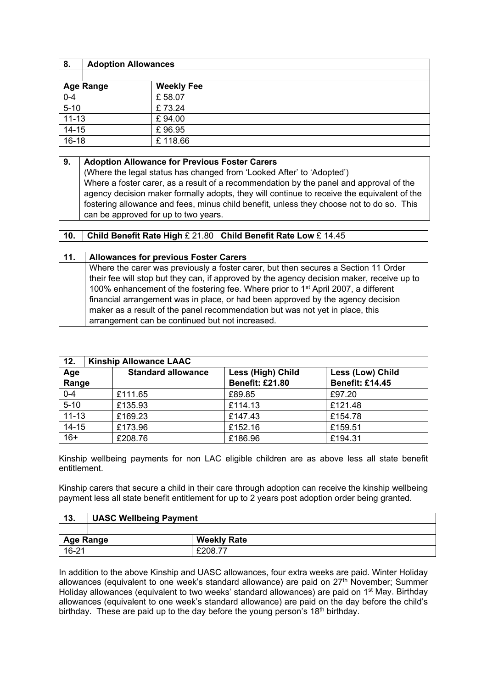| 8.        | <b>Adoption Allowances</b> |                   |
|-----------|----------------------------|-------------------|
|           |                            |                   |
|           | <b>Age Range</b>           | <b>Weekly Fee</b> |
| $0 - 4$   |                            | £58.07            |
| $5 - 10$  |                            | £73.24            |
| $11 - 13$ |                            | £94.00            |
| $14 - 15$ |                            | £96.95            |
| $16 - 18$ |                            | £118.66           |

#### **9. Adoption Allowance for Previous Foster Carers**

(Where the legal status has changed from 'Looked After' to 'Adopted') Where a foster carer, as a result of a recommendation by the panel and approval of the agency decision maker formally adopts, they will continue to receive the equivalent of the fostering allowance and fees, minus child benefit, unless they choose not to do so. This can be approved for up to two years.

#### **10. Child Benefit Rate High** £ 21.80 **Child Benefit Rate Low** £ 14.45

| 11. | <b>Allowances for previous Foster Carers</b>                                                  |
|-----|-----------------------------------------------------------------------------------------------|
|     | Where the carer was previously a foster carer, but then secures a Section 11 Order            |
|     | their fee will stop but they can, if approved by the agency decision maker, receive up to     |
|     | 100% enhancement of the fostering fee. Where prior to 1 <sup>st</sup> April 2007, a different |
|     | financial arrangement was in place, or had been approved by the agency decision               |
|     | maker as a result of the panel recommendation but was not yet in place, this                  |
|     | arrangement can be continued but not increased.                                               |

| 12.          | <b>Kinship Allowance LAAC</b> |                                             |                                            |  |
|--------------|-------------------------------|---------------------------------------------|--------------------------------------------|--|
| Age<br>Range | <b>Standard allowance</b>     | Less (High) Child<br><b>Benefit: £21.80</b> | Less (Low) Child<br><b>Benefit: £14.45</b> |  |
| $0 - 4$      | £111.65                       | £89.85                                      | £97.20                                     |  |
| $5 - 10$     | £135.93                       | £114.13                                     | £121.48                                    |  |
| $11 - 13$    | £169.23                       | £147.43                                     | £154.78                                    |  |
| $14 - 15$    | £173.96                       | £152.16                                     | £159.51                                    |  |
| $16+$        | £208.76                       | £186.96                                     | £194.31                                    |  |

Kinship wellbeing payments for non LAC eligible children are as above less all state benefit entitlement.

Kinship carers that secure a child in their care through adoption can receive the kinship wellbeing payment less all state benefit entitlement for up to 2 years post adoption order being granted.

| 13.       | UASC Wellbeing Payment                 |         |
|-----------|----------------------------------------|---------|
|           |                                        |         |
|           | <b>Weekly Rate</b><br><b>Age Range</b> |         |
| $16 - 21$ |                                        | £208.77 |

In addition to the above Kinship and UASC allowances, four extra weeks are paid. Winter Holiday allowances (equivalent to one week's standard allowance) are paid on 27<sup>th</sup> November; Summer Holiday allowances (equivalent to two weeks' standard allowances) are paid on 1<sup>st</sup> May. Birthday allowances (equivalent to one week's standard allowance) are paid on the day before the child's birthday. These are paid up to the day before the young person's 18<sup>th</sup> birthday.